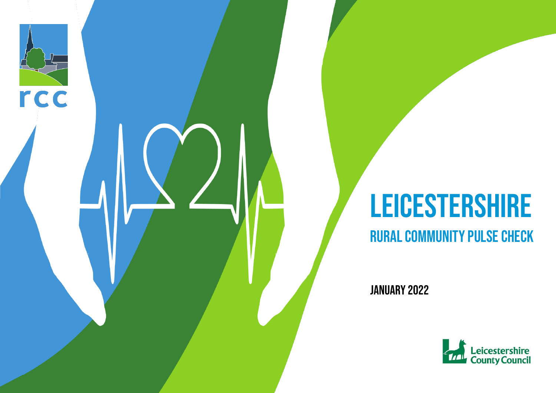# **LEICESTERSHIRE**

#### Rural Community PULSE CHECK

January 2022

rcc

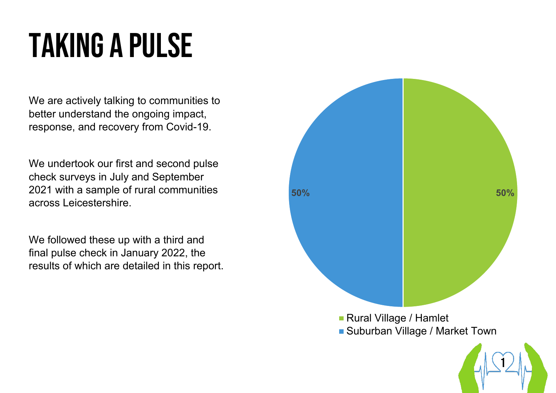## TAKING A PULSE

We are actively talking to communities to better understand the ongoing impact, response, and recovery from Covid-19.

We undertook our first and second pulse check surveys in July and September 2021 with a sample of rural communities across Leicestershire.

We followed these up with a third and final pulse check in January 2022, the results of which are detailed in this report.

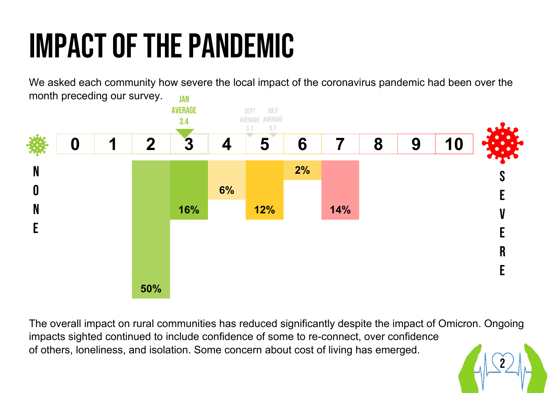## IMPACT of the pandemic

We asked each community how severe the local impact of the coronavirus pandemic had been over the month preceding our survey. **JAN** 



The overall impact on rural communities has reduced significantly despite the impact of Omicron. Ongoing impacts sighted continued to include confidence of some to re-connect, over confidence of others, loneliness, and isolation. Some concern about cost of living has emerged.

2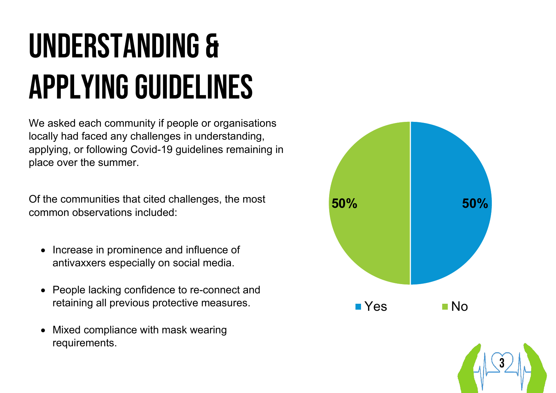## Understanding & Applying Guidelines

We asked each community if people or organisations locally had faced any challenges in understanding, applying, or following Covid-19 guidelines remaining in place over the summer.

Of the communities that cited challenges, the most common observations included:

- Increase in prominence and influence of antivaxxers especially on social media.
- People lacking confidence to re-connect and retaining all previous protective measures.
- Mixed compliance with mask wearing requirements.



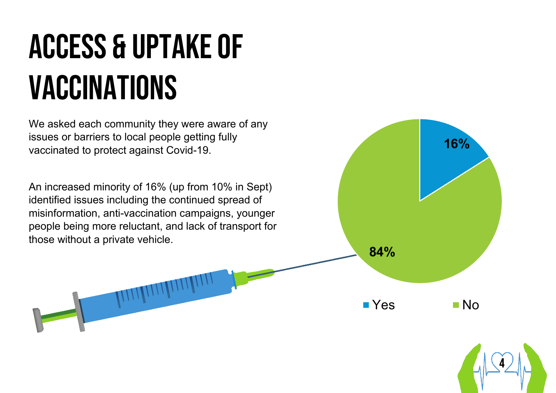## Access & uptake of vaccinations

We asked each community they were aware of any issues or barriers to local people getting fully vaccinated to protect against Covid-19.

**16%**

4

**84%**

 $\blacksquare$  Yes  $\blacksquare$  No

An increased minority of 16% (up from 10% in Sept) identified issues including the continued spread of misinformation, anti-vaccination campaigns, younger people being more reluctant, and lack of transport for those without a private vehicle.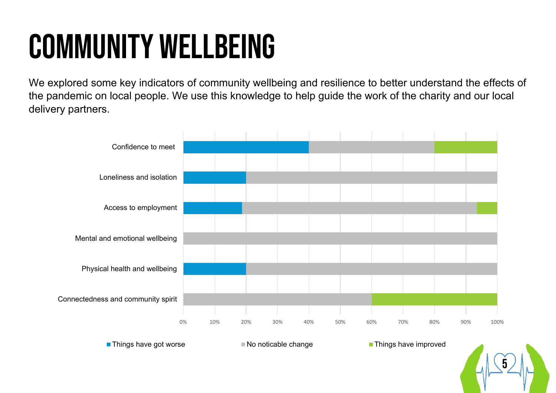### Community Wellbeing

We explored some key indicators of community wellbeing and resilience to better understand the effects of the pandemic on local people. We use this knowledge to help guide the work of the charity and our local delivery partners.



■ Things have got worse No noticable change Things have improved

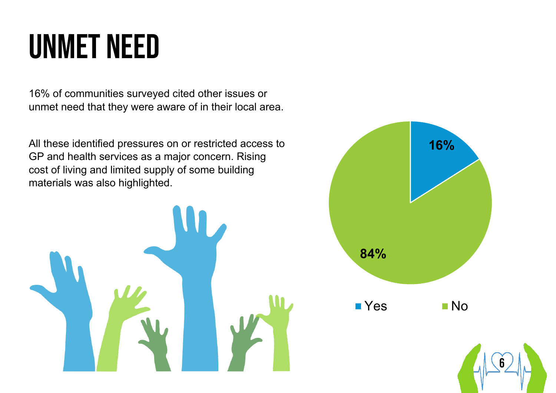### Unmet need

16% of communities surveyed cited other issues or unmet need that they were aware of in their local area.

All these identified pressures on or restricted access to GP and health services as a major concern. Rising cost of living and limited supply of some building materials was also highlighted.